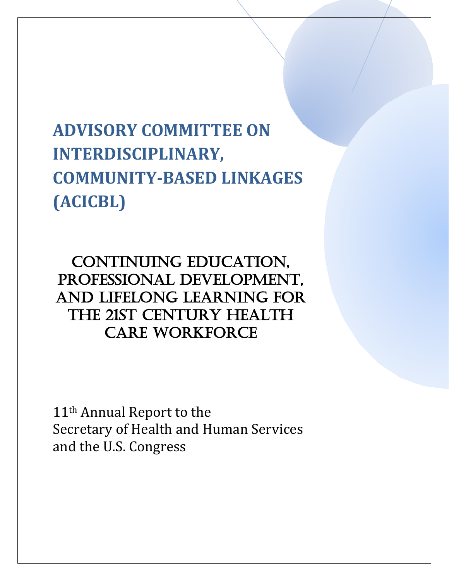# **ADVISORY COMMITTEE ON INTERDISCIPLINARY, COMMUNITY-BASED LINKAGES (ACICBL)**

CONTINUING EDUCATION, Professional Development, and Lifelong Learning for the 21st Century Health Care Workforce

11<sup>th</sup> Annual Report to the Secretary of Health and Human Services and the U.S. Congress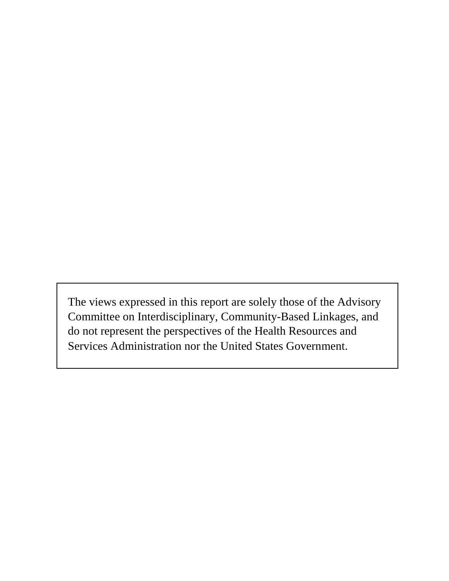The views expressed in this report are solely those of the Advisory Committee on Interdisciplinary, Community-Based Linkages, and do not represent the perspectives of the Health Resources and Services Administration nor the United States Government.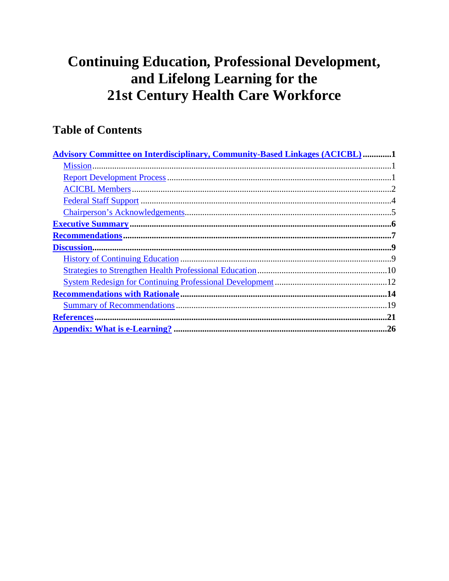# **Continuing Education, Professional Development,** and Lifelong Learning for the **21st Century Health Care Workforce**

# **Table of Contents**

| <b>Advisory Committee on Interdisciplinary, Community-Based Linkages (ACICBL) 1</b> |
|-------------------------------------------------------------------------------------|
|                                                                                     |
|                                                                                     |
|                                                                                     |
|                                                                                     |
|                                                                                     |
|                                                                                     |
|                                                                                     |
|                                                                                     |
|                                                                                     |
|                                                                                     |
|                                                                                     |
|                                                                                     |
|                                                                                     |
|                                                                                     |
|                                                                                     |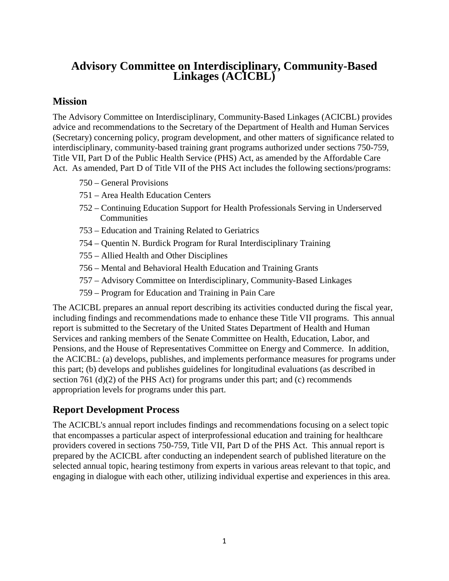# <span id="page-3-0"></span>**Advisory Committee on Interdisciplinary, Community-Based Linkages (ACICBL)**

### <span id="page-3-1"></span>**Mission**

The Advisory Committee on Interdisciplinary, Community-Based Linkages (ACICBL) provides advice and recommendations to the Secretary of the Department of Health and Human Services (Secretary) concerning policy, program development, and other matters of significance related to interdisciplinary, community-based training grant programs authorized under sections 750-759, Title VII, Part D of the Public Health Service (PHS) Act, as amended by the Affordable Care Act. As amended, Part D of Title VII of the PHS Act includes the following sections/programs:

- 750 General Provisions
- 751 Area Health Education Centers
- 752 Continuing Education Support for Health Professionals Serving in Underserved Communities
- 753 Education and Training Related to Geriatrics
- 754 Quentin N. Burdick Program for Rural Interdisciplinary Training
- 755 Allied Health and Other Disciplines
- 756 Mental and Behavioral Health Education and Training Grants
- 757 Advisory Committee on Interdisciplinary, Community-Based Linkages
- 759 Program for Education and Training in Pain Care

The ACICBL prepares an annual report describing its activities conducted during the fiscal year, including findings and recommendations made to enhance these Title VII programs. This annual report is submitted to the Secretary of the United States Department of Health and Human Services and ranking members of the Senate Committee on Health, Education, Labor, and Pensions, and the House of Representatives Committee on Energy and Commerce. In addition, the ACICBL: (a) develops, publishes, and implements performance measures for programs under this part; (b) develops and publishes guidelines for longitudinal evaluations (as described in section 761 (d)(2) of the PHS Act) for programs under this part; and (c) recommends appropriation levels for programs under this part.

# <span id="page-3-2"></span>**Report Development Process**

The ACICBL's annual report includes findings and recommendations focusing on a select topic that encompasses a particular aspect of interprofessional education and training for healthcare providers covered in sections 750-759, Title VII, Part D of the PHS Act. This annual report is prepared by the ACICBL after conducting an independent search of published literature on the selected annual topic, hearing testimony from experts in various areas relevant to that topic, and engaging in dialogue with each other, utilizing individual expertise and experiences in this area.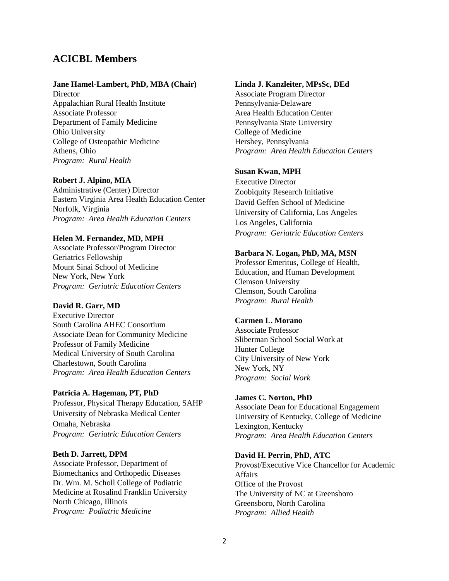### <span id="page-4-0"></span>**ACICBL Members**

#### **Jane Hamel-Lambert, PhD, MBA (Chair)**

**Director** Appalachian Rural Health Institute Associate Professor Department of Family Medicine Ohio University College of Osteopathic Medicine Athens, Ohio *Program: Rural Health*

#### **Robert J. Alpino, MIA**

Administrative (Center) Director Eastern Virginia Area Health Education Center Norfolk, Virginia *Program: Area Health Education Centers*

#### **Helen M. Fernandez, MD, MPH**

Associate Professor/Program Director Geriatrics Fellowship Mount Sinai School of Medicine New York, New York *Program: Geriatric Education Centers*

#### **David R. Garr, MD**

Executive Director South Carolina AHEC Consortium Associate Dean for Community Medicine Professor of Family Medicine Medical University of South Carolina Charlestown, South Carolina *Program: Area Health Education Centers*

#### **Patricia A. Hageman, PT, PhD**

Professor, Physical Therapy Education, SAHP University of Nebraska Medical Center Omaha, Nebraska *Program: Geriatric Education Centers*

#### **Beth D. Jarrett, DPM**

Associate Professor, Department of Biomechanics and Orthopedic Diseases Dr. Wm. M. Scholl College of Podiatric Medicine at Rosalind Franklin University North Chicago, Illinois *Program: Podiatric Medicine*

#### **Linda J. Kanzleiter, MPsSc, DEd**

Associate Program Director Pennsylvania-Delaware Area Health Education Center Pennsylvania State University College of Medicine Hershey, Pennsylvania *Program: Area Health Education Centers*

#### **Susan Kwan, MPH**

Executive Director Zoobiquity Research Initiative David Geffen School of Medicine University of California, Los Angeles Los Angeles, California *Program: Geriatric Education Centers*

#### **Barbara N. Logan, PhD, MA, MSN**

Professor Emeritus, College of Health, Education, and Human Development Clemson University Clemson, South Carolina *Program: Rural Health*

#### **Carmen L. Morano**

Associate Professor Sliberman School Social Work at Hunter College City University of New York New York, NY *Program: Social Work*

#### **James C. Norton, PhD**

Associate Dean for Educational Engagement University of Kentucky, College of Medicine Lexington, Kentucky *Program: Area Health Education Centers*

#### **David H. Perrin, PhD, ATC**

Provost/Executive Vice Chancellor for Academic Affairs Office of the Provost The University of NC at Greensboro Greensboro, North Carolina *Program: Allied Health*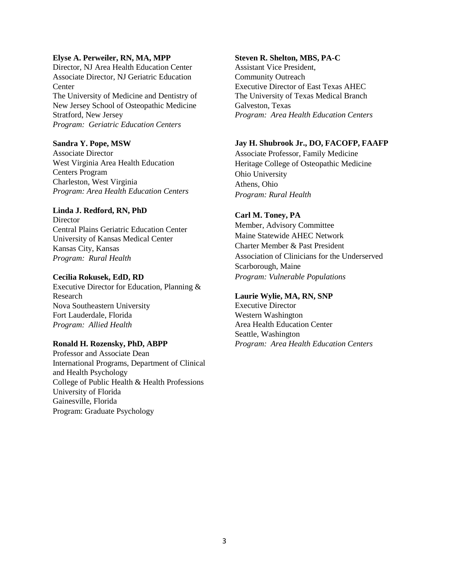#### **Elyse A. Perweiler, RN, MA, MPP**

Director, NJ Area Health Education Center Associate Director, NJ Geriatric Education **Center** The University of Medicine and Dentistry of New Jersey School of Osteopathic Medicine Stratford, New Jersey *Program: Geriatric Education Centers*

#### **Sandra Y. Pope, MSW**

Associate Director West Virginia Area Health Education Centers Program Charleston, West Virginia *Program: Area Health Education Centers*

#### **Linda J. Redford, RN, PhD**

**Director** Central Plains Geriatric Education Center University of Kansas Medical Center Kansas City, Kansas *Program: Rural Health*

#### **Cecilia Rokusek, EdD, RD**

Executive Director for Education, Planning & Research Nova Southeastern University Fort Lauderdale, Florida *Program: Allied Health*

#### **Ronald H. Rozensky, PhD, ABPP**

Professor and Associate Dean International Programs, Department of Clinical and Health Psychology College of Public Health & Health Professions University of Florida Gainesville, Florida Program: Graduate Psychology

#### **Steven R. Shelton, MBS, PA-C**

Assistant Vice President, Community Outreach Executive Director of East Texas AHEC The University of Texas Medical Branch Galveston, Texas *Program: Area Health Education Centers*

#### **Jay H. Shubrook Jr., DO, FACOFP, FAAFP**

Associate Professor, Family Medicine Heritage College of Osteopathic Medicine Ohio University Athens, Ohio *Program: Rural Health*

#### **Carl M. Toney, PA**

Member, Advisory Committee Maine Statewide AHEC Network Charter Member & Past President Association of Clinicians for the Underserved Scarborough, Maine *Program: Vulnerable Populations*

#### **Laurie Wylie, MA, RN, SNP**

Executive Director Western Washington Area Health Education Center Seattle, Washington *Program: Area Health Education Centers*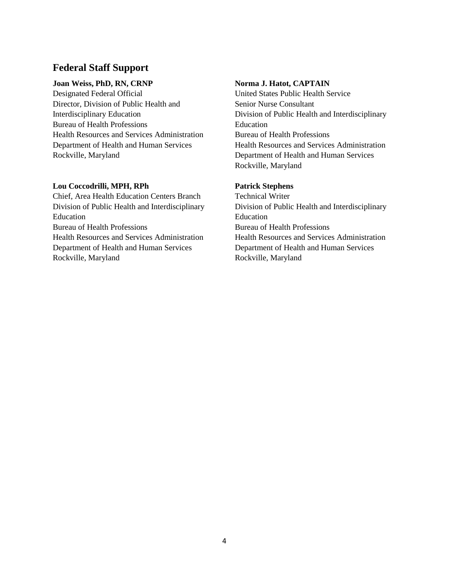# <span id="page-6-0"></span>**Federal Staff Support**

#### **Joan Weiss, PhD, RN, CRNP**

Designated Federal Official Director, Division of Public Health and Interdisciplinary Education Bureau of Health Professions Health Resources and Services Administration Department of Health and Human Services Rockville, Maryland

#### **Lou Coccodrilli, MPH, RPh**

Chief, Area Health Education Centers Branch Division of Public Health and Interdisciplinary Education Bureau of Health Professions Health Resources and Services Administration Department of Health and Human Services Rockville, Maryland

#### **Norma J. Hatot, CAPTAIN**

United States Public Health Service Senior Nurse Consultant Division of Public Health and Interdisciplinary Education Bureau of Health Professions Health Resources and Services Administration Department of Health and Human Services Rockville, Maryland

#### **Patrick Stephens**

Technical Writer Division of Public Health and Interdisciplinary Education Bureau of Health Professions Health Resources and Services Administration Department of Health and Human Services Rockville, Maryland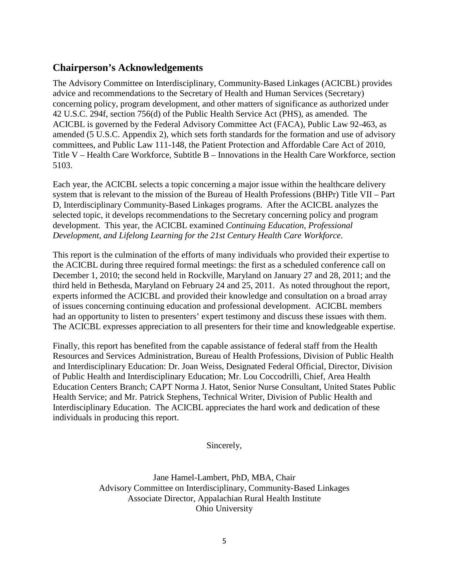# <span id="page-7-0"></span>**Chairperson's Acknowledgements**

The Advisory Committee on Interdisciplinary, Community-Based Linkages (ACICBL) provides advice and recommendations to the Secretary of Health and Human Services (Secretary) concerning policy, program development, and other matters of significance as authorized under 42 U.S.C. 294f, section 756(d) of the Public Health Service Act (PHS), as amended. The ACICBL is governed by the Federal Advisory Committee Act (FACA), Public Law 92-463, as amended (5 U.S.C. Appendix 2), which sets forth standards for the formation and use of advisory committees, and Public Law 111-148, the Patient Protection and Affordable Care Act of 2010, Title V – Health Care Workforce, Subtitle B – Innovations in the Health Care Workforce, section 5103.

Each year, the ACICBL selects a topic concerning a major issue within the healthcare delivery system that is relevant to the mission of the Bureau of Health Professions (BHPr) Title VII – Part D, Interdisciplinary Community-Based Linkages programs. After the ACICBL analyzes the selected topic, it develops recommendations to the Secretary concerning policy and program development. This year, the ACICBL examined *Continuing Education, Professional Development, and Lifelong Learning for the 21st Century Health Care Workforce*.

This report is the culmination of the efforts of many individuals who provided their expertise to the ACICBL during three required formal meetings: the first as a scheduled conference call on December 1, 2010; the second held in Rockville, Maryland on January 27 and 28, 2011; and the third held in Bethesda, Maryland on February 24 and 25, 2011. As noted throughout the report, experts informed the ACICBL and provided their knowledge and consultation on a broad array of issues concerning continuing education and professional development. ACICBL members had an opportunity to listen to presenters' expert testimony and discuss these issues with them. The ACICBL expresses appreciation to all presenters for their time and knowledgeable expertise.

Finally, this report has benefited from the capable assistance of federal staff from the Health Resources and Services Administration, Bureau of Health Professions, Division of Public Health and Interdisciplinary Education: Dr. Joan Weiss, Designated Federal Official, Director, Division of Public Health and Interdisciplinary Education; Mr. Lou Coccodrilli, Chief, Area Health Education Centers Branch; CAPT Norma J. Hatot, Senior Nurse Consultant, United States Public Health Service; and Mr. Patrick Stephens, Technical Writer, Division of Public Health and Interdisciplinary Education. The ACICBL appreciates the hard work and dedication of these individuals in producing this report.

Sincerely,

Jane Hamel-Lambert, PhD, MBA, Chair Advisory Committee on Interdisciplinary, Community-Based Linkages Associate Director, Appalachian Rural Health Institute Ohio University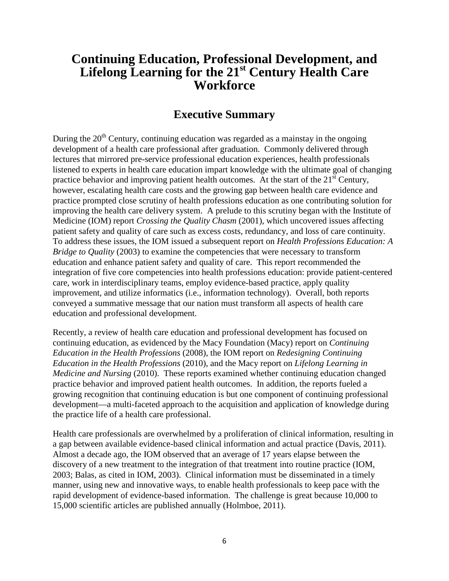# **Continuing Education, Professional Development, and Lifelong Learning for the 21st Century Health Care Workforce**

# **Executive Summary**

<span id="page-8-0"></span>During the  $20<sup>th</sup>$  Century, continuing education was regarded as a mainstay in the ongoing development of a health care professional after graduation. Commonly delivered through lectures that mirrored pre-service professional education experiences, health professionals listened to experts in health care education impart knowledge with the ultimate goal of changing practice behavior and improving patient health outcomes. At the start of the  $21<sup>st</sup>$  Century, however, escalating health care costs and the growing gap between health care evidence and practice prompted close scrutiny of health professions education as one contributing solution for improving the health care delivery system. A prelude to this scrutiny began with the Institute of Medicine (IOM) report *Crossing the Quality Chasm* (2001), which uncovered issues affecting patient safety and quality of care such as excess costs, redundancy, and loss of care continuity. To address these issues, the IOM issued a subsequent report on *Health Professions Education: A Bridge to Quality* (2003) to examine the competencies that were necessary to transform education and enhance patient safety and quality of care. This report recommended the integration of five core competencies into health professions education: provide patient-centered care, work in interdisciplinary teams, employ evidence-based practice, apply quality improvement, and utilize informatics (i.e., information technology). Overall, both reports conveyed a summative message that our nation must transform all aspects of health care education and professional development.

Recently, a review of health care education and professional development has focused on continuing education, as evidenced by the Macy Foundation (Macy) report on *Continuing Education in the Health Professions* (2008), the IOM report on *Redesigning Continuing Education in the Health Professions* (2010), and the Macy report on *Lifelong Learning in Medicine and Nursing* (2010). These reports examined whether continuing education changed practice behavior and improved patient health outcomes. In addition, the reports fueled a growing recognition that continuing education is but one component of continuing professional development—a multi-faceted approach to the acquisition and application of knowledge during the practice life of a health care professional.

Health care professionals are overwhelmed by a proliferation of clinical information, resulting in a gap between available evidence-based clinical information and actual practice (Davis, 2011). Almost a decade ago, the IOM observed that an average of 17 years elapse between the discovery of a new treatment to the integration of that treatment into routine practice (IOM, 2003; Balas, as cited in IOM, 2003). Clinical information must be disseminated in a timely manner, using new and innovative ways, to enable health professionals to keep pace with the rapid development of evidence-based information. The challenge is great because 10,000 to 15,000 scientific articles are published annually (Holmboe, 2011).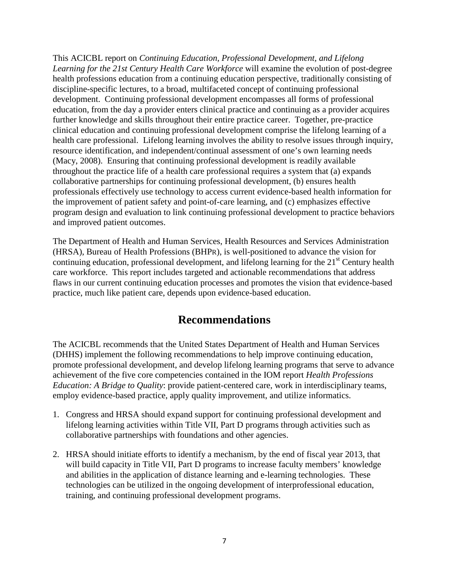This ACICBL report on *Continuing Education, Professional Development, and Lifelong Learning for the 21st Century Health Care Workforce* will examine the evolution of post-degree health professions education from a continuing education perspective, traditionally consisting of discipline-specific lectures, to a broad, multifaceted concept of continuing professional development. Continuing professional development encompasses all forms of professional education, from the day a provider enters clinical practice and continuing as a provider acquires further knowledge and skills throughout their entire practice career. Together, pre-practice clinical education and continuing professional development comprise the lifelong learning of a health care professional. Lifelong learning involves the ability to resolve issues through inquiry, resource identification, and independent/continual assessment of one's own learning needs (Macy, 2008). Ensuring that continuing professional development is readily available throughout the practice life of a health care professional requires a system that (a) expands collaborative partnerships for continuing professional development, (b) ensures health professionals effectively use technology to access current evidence-based health information for the improvement of patient safety and point-of-care learning, and (c) emphasizes effective program design and evaluation to link continuing professional development to practice behaviors and improved patient outcomes.

The Department of Health and Human Services, Health Resources and Services Administration (HRSA), Bureau of Health Professions (BHPR), is well-positioned to advance the vision for continuing education, professional development, and lifelong learning for the  $21<sup>st</sup>$  Century health care workforce. This report includes targeted and actionable recommendations that address flaws in our current continuing education processes and promotes the vision that evidence-based practice, much like patient care, depends upon evidence-based education.

# **Recommendations**

<span id="page-9-0"></span>The ACICBL recommends that the United States Department of Health and Human Services (DHHS) implement the following recommendations to help improve continuing education, promote professional development, and develop lifelong learning programs that serve to advance achievement of the five core competencies contained in the IOM report *Health Professions Education: A Bridge to Quality*: provide patient-centered care, work in interdisciplinary teams, employ evidence-based practice, apply quality improvement, and utilize informatics.

- 1. Congress and HRSA should expand support for continuing professional development and lifelong learning activities within Title VII, Part D programs through activities such as collaborative partnerships with foundations and other agencies.
- 2. HRSA should initiate efforts to identify a mechanism, by the end of fiscal year 2013, that will build capacity in Title VII, Part D programs to increase faculty members' knowledge and abilities in the application of distance learning and e-learning technologies. These technologies can be utilized in the ongoing development of interprofessional education, training, and continuing professional development programs.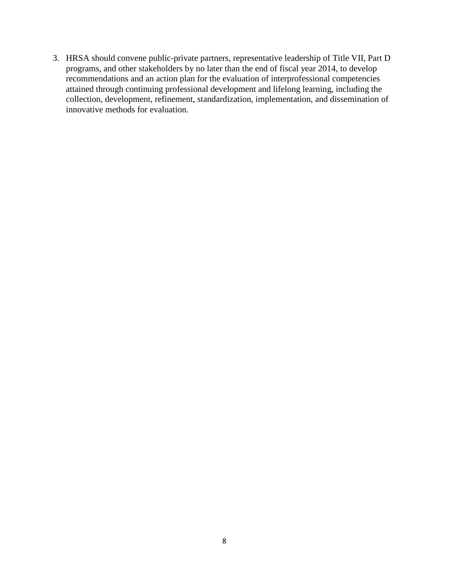3. HRSA should convene public-private partners, representative leadership of Title VII, Part D programs, and other stakeholders by no later than the end of fiscal year 2014, to develop recommendations and an action plan for the evaluation of interprofessional competencies attained through continuing professional development and lifelong learning, including the collection, development, refinement, standardization, implementation, and dissemination of innovative methods for evaluation.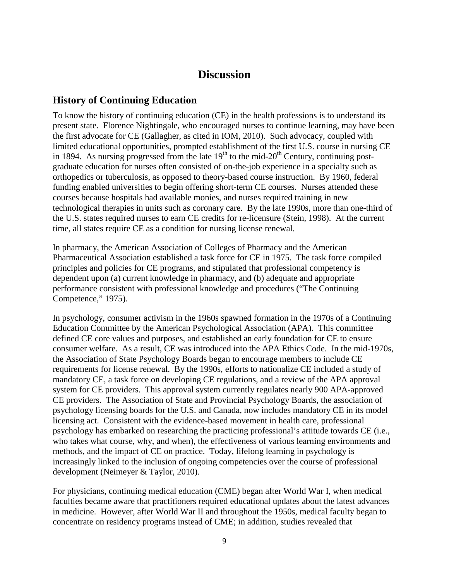# **Discussion**

# <span id="page-11-1"></span><span id="page-11-0"></span>**History of Continuing Education**

To know the history of continuing education (CE) in the health professions is to understand its present state. Florence Nightingale, who encouraged nurses to continue learning, may have been the first advocate for CE (Gallagher, as cited in IOM, 2010). Such advocacy, coupled with limited educational opportunities, prompted establishment of the first U.S. course in nursing CE in 1894. As nursing progressed from the late  $19<sup>th</sup>$  to the mid-20<sup>th</sup> Century, continuing postgraduate education for nurses often consisted of on-the-job experience in a specialty such as orthopedics or tuberculosis, as opposed to theory-based course instruction. By 1960, federal funding enabled universities to begin offering short-term CE courses. Nurses attended these courses because hospitals had available monies, and nurses required training in new technological therapies in units such as coronary care. By the late 1990s, more than one-third of the U.S. states required nurses to earn CE credits for re-licensure (Stein, 1998). At the current time, all states require CE as a condition for nursing license renewal.

In pharmacy, the American Association of Colleges of Pharmacy and the American Pharmaceutical Association established a task force for CE in 1975. The task force compiled principles and policies for CE programs, and stipulated that professional competency is dependent upon (a) current knowledge in pharmacy, and (b) adequate and appropriate performance consistent with professional knowledge and procedures ("The Continuing Competence," 1975).

In psychology, consumer activism in the 1960s spawned formation in the 1970s of a Continuing Education Committee by the American Psychological Association (APA). This committee defined CE core values and purposes, and established an early foundation for CE to ensure consumer welfare. As a result, CE was introduced into the APA Ethics Code. In the mid-1970s, the Association of State Psychology Boards began to encourage members to include CE requirements for license renewal. By the 1990s, efforts to nationalize CE included a study of mandatory CE, a task force on developing CE regulations, and a review of the APA approval system for CE providers. This approval system currently regulates nearly 900 APA-approved CE providers. The Association of State and Provincial Psychology Boards, the association of psychology licensing boards for the U.S. and Canada, now includes mandatory CE in its model licensing act. Consistent with the evidence-based movement in health care, professional psychology has embarked on researching the practicing professional's attitude towards CE (i.e., who takes what course, why, and when), the effectiveness of various learning environments and methods, and the impact of CE on practice. Today, lifelong learning in psychology is increasingly linked to the inclusion of ongoing competencies over the course of professional development (Neimeyer & Taylor, 2010).

For physicians, continuing medical education (CME) began after World War I, when medical faculties became aware that practitioners required educational updates about the latest advances in medicine. However, after World War II and throughout the 1950s, medical faculty began to concentrate on residency programs instead of CME; in addition, studies revealed that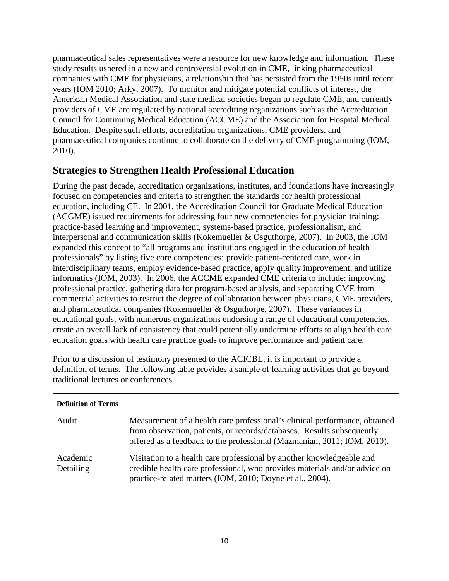pharmaceutical sales representatives were a resource for new knowledge and information. These study results ushered in a new and controversial evolution in CME, linking pharmaceutical companies with CME for physicians, a relationship that has persisted from the 1950s until recent years (IOM 2010; Arky, 2007). To monitor and mitigate potential conflicts of interest, the American Medical Association and state medical societies began to regulate CME, and currently providers of CME are regulated by national accrediting organizations such as the Accreditation Council for Continuing Medical Education (ACCME) and the Association for Hospital Medical Education. Despite such efforts, accreditation organizations, CME providers, and pharmaceutical companies continue to collaborate on the delivery of CME programming (IOM, 2010).

# <span id="page-12-0"></span>**Strategies to Strengthen Health Professional Education**

During the past decade, accreditation organizations, institutes, and foundations have increasingly focused on competencies and criteria to strengthen the standards for health professional education, including CE. In 2001, the Accreditation Council for Graduate Medical Education (ACGME) issued requirements for addressing four new competencies for physician training: practice-based learning and improvement, systems-based practice, professionalism, and interpersonal and communication skills (Kokemueller & Osguthorpe, 2007). In 2003, the IOM expanded this concept to "all programs and institutions engaged in the education of health professionals" by listing five core competencies: provide patient-centered care, work in interdisciplinary teams, employ evidence-based practice, apply quality improvement, and utilize informatics (IOM, 2003). In 2006, the ACCME expanded CME criteria to include: improving professional practice, gathering data for program-based analysis, and separating CME from commercial activities to restrict the degree of collaboration between physicians, CME providers, and pharmaceutical companies (Kokemueller & Osguthorpe, 2007). These variances in educational goals, with numerous organizations endorsing a range of educational competencies, create an overall lack of consistency that could potentially undermine efforts to align health care education goals with health care practice goals to improve performance and patient care.

| Prior to a discussion of testimony presented to the ACICBL, it is important to provide a         |
|--------------------------------------------------------------------------------------------------|
| definition of terms. The following table provides a sample of learning activities that go beyond |
| traditional lectures or conferences.                                                             |

| <b>Definition of Terms</b> |                                                                                                                                                                                                                                 |
|----------------------------|---------------------------------------------------------------------------------------------------------------------------------------------------------------------------------------------------------------------------------|
| Audit                      | Measurement of a health care professional's clinical performance, obtained<br>from observation, patients, or records/databases. Results subsequently<br>offered as a feedback to the professional (Mazmanian, 2011; IOM, 2010). |
| Academic<br>Detailing      | Visitation to a health care professional by another knowledgeable and<br>credible health care professional, who provides materials and/or advice on<br>practice-related matters (IOM, 2010; Doyne et al., 2004).                |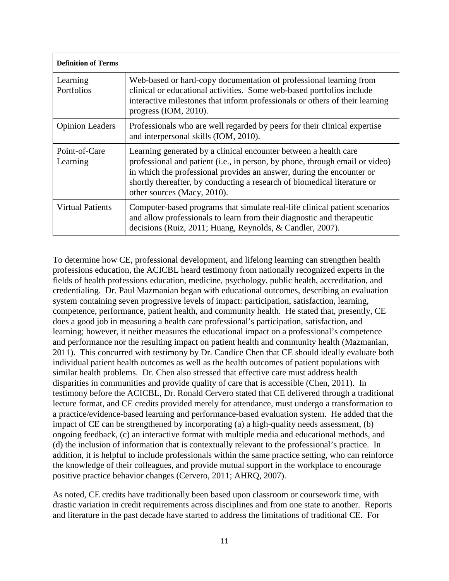| <b>Definition of Terms</b> |                                                                                                                                                                                                                                                                                                                                      |
|----------------------------|--------------------------------------------------------------------------------------------------------------------------------------------------------------------------------------------------------------------------------------------------------------------------------------------------------------------------------------|
| Learning<br>Portfolios     | Web-based or hard-copy documentation of professional learning from<br>clinical or educational activities. Some web-based portfolios include<br>interactive milestones that inform professionals or others of their learning<br>progress $(IOM, 2010)$ .                                                                              |
| <b>Opinion Leaders</b>     | Professionals who are well regarded by peers for their clinical expertise<br>and interpersonal skills (IOM, 2010).                                                                                                                                                                                                                   |
| Point-of-Care<br>Learning  | Learning generated by a clinical encounter between a health care<br>professional and patient (i.e., in person, by phone, through email or video)<br>in which the professional provides an answer, during the encounter or<br>shortly thereafter, by conducting a research of biomedical literature or<br>other sources (Macy, 2010). |
| <b>Virtual Patients</b>    | Computer-based programs that simulate real-life clinical patient scenarios<br>and allow professionals to learn from their diagnostic and therapeutic<br>decisions (Ruiz, 2011; Huang, Reynolds, & Candler, 2007).                                                                                                                    |

To determine how CE, professional development, and lifelong learning can strengthen health professions education, the ACICBL heard testimony from nationally recognized experts in the fields of health professions education, medicine, psychology, public health, accreditation, and credentialing. Dr. Paul Mazmanian began with educational outcomes, describing an evaluation system containing seven progressive levels of impact: participation, satisfaction, learning, competence, performance, patient health, and community health. He stated that, presently, CE does a good job in measuring a health care professional's participation, satisfaction, and learning; however, it neither measures the educational impact on a professional's competence and performance nor the resulting impact on patient health and community health (Mazmanian, 2011). This concurred with testimony by Dr. Candice Chen that CE should ideally evaluate both individual patient health outcomes as well as the health outcomes of patient populations with similar health problems. Dr. Chen also stressed that effective care must address health disparities in communities and provide quality of care that is accessible (Chen, 2011). In testimony before the ACICBL, Dr. Ronald Cervero stated that CE delivered through a traditional lecture format, and CE credits provided merely for attendance, must undergo a transformation to a practice/evidence-based learning and performance-based evaluation system. He added that the impact of CE can be strengthened by incorporating (a) a high-quality needs assessment, (b) ongoing feedback, (c) an interactive format with multiple media and educational methods, and (d) the inclusion of information that is contextually relevant to the professional's practice. In addition, it is helpful to include professionals within the same practice setting, who can reinforce the knowledge of their colleagues, and provide mutual support in the workplace to encourage positive practice behavior changes (Cervero, 2011; AHRQ, 2007).

As noted, CE credits have traditionally been based upon classroom or coursework time, with drastic variation in credit requirements across disciplines and from one state to another. Reports and literature in the past decade have started to address the limitations of traditional CE. For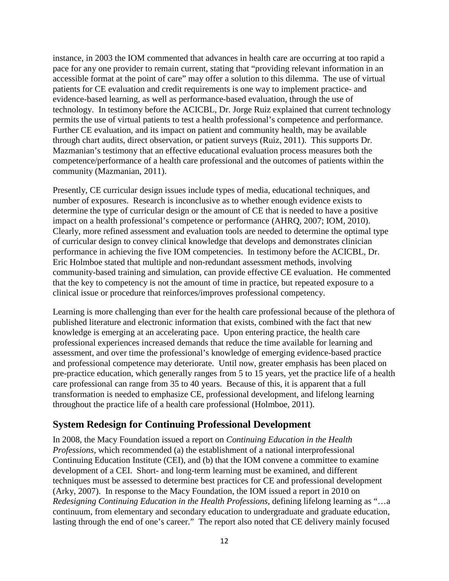instance, in 2003 the IOM commented that advances in health care are occurring at too rapid a pace for any one provider to remain current, stating that "providing relevant information in an accessible format at the point of care" may offer a solution to this dilemma. The use of virtual patients for CE evaluation and credit requirements is one way to implement practice- and evidence-based learning, as well as performance-based evaluation, through the use of technology. In testimony before the ACICBL, Dr. Jorge Ruiz explained that current technology permits the use of virtual patients to test a health professional's competence and performance. Further CE evaluation, and its impact on patient and community health, may be available through chart audits, direct observation, or patient surveys (Ruiz, 2011). This supports Dr. Mazmanian's testimony that an effective educational evaluation process measures both the competence/performance of a health care professional and the outcomes of patients within the community (Mazmanian, 2011).

Presently, CE curricular design issues include types of media, educational techniques, and number of exposures. Research is inconclusive as to whether enough evidence exists to determine the type of curricular design or the amount of CE that is needed to have a positive impact on a health professional's competence or performance (AHRQ, 2007; IOM, 2010). Clearly, more refined assessment and evaluation tools are needed to determine the optimal type of curricular design to convey clinical knowledge that develops and demonstrates clinician performance in achieving the five IOM competencies. In testimony before the ACICBL, Dr. Eric Holmboe stated that multiple and non-redundant assessment methods, involving community-based training and simulation, can provide effective CE evaluation. He commented that the key to competency is not the amount of time in practice, but repeated exposure to a clinical issue or procedure that reinforces/improves professional competency.

Learning is more challenging than ever for the health care professional because of the plethora of published literature and electronic information that exists, combined with the fact that new knowledge is emerging at an accelerating pace. Upon entering practice, the health care professional experiences increased demands that reduce the time available for learning and assessment, and over time the professional's knowledge of emerging evidence-based practice and professional competence may deteriorate. Until now, greater emphasis has been placed on pre-practice education, which generally ranges from 5 to 15 years, yet the practice life of a health care professional can range from 35 to 40 years. Because of this, it is apparent that a full transformation is needed to emphasize CE, professional development, and lifelong learning throughout the practice life of a health care professional (Holmboe, 2011).

### <span id="page-14-0"></span>**System Redesign for Continuing Professional Development**

In 2008, the Macy Foundation issued a report on *Continuing Education in the Health Professions*, which recommended (a) the establishment of a national interprofessional Continuing Education Institute (CEI), and (b) that the IOM convene a committee to examine development of a CEI. Short- and long-term learning must be examined, and different techniques must be assessed to determine best practices for CE and professional development (Arky, 2007). In response to the Macy Foundation, the IOM issued a report in 2010 on *Redesigning Continuing Education in the Health Professions*, defining lifelong learning as "…a continuum, from elementary and secondary education to undergraduate and graduate education, lasting through the end of one's career." The report also noted that CE delivery mainly focused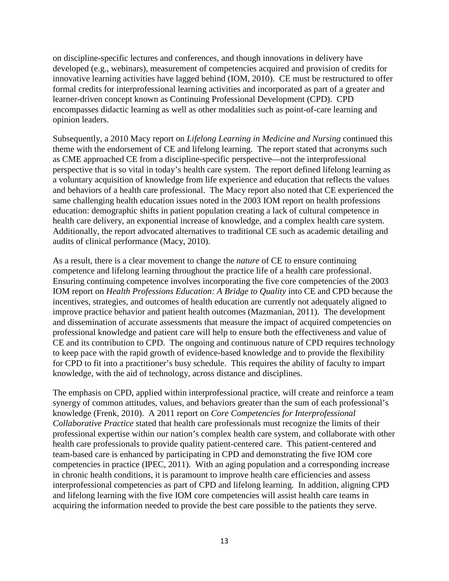on discipline-specific lectures and conferences, and though innovations in delivery have developed (e.g., webinars), measurement of competencies acquired and provision of credits for innovative learning activities have lagged behind (IOM, 2010). CE must be restructured to offer formal credits for interprofessional learning activities and incorporated as part of a greater and learner-driven concept known as Continuing Professional Development (CPD). CPD encompasses didactic learning as well as other modalities such as point-of-care learning and opinion leaders.

Subsequently, a 2010 Macy report on *Lifelong Learning in Medicine and Nursing* continued this theme with the endorsement of CE and lifelong learning. The report stated that acronyms such as CME approached CE from a discipline-specific perspective—not the interprofessional perspective that is so vital in today's health care system. The report defined lifelong learning as a voluntary acquisition of knowledge from life experience and education that reflects the values and behaviors of a health care professional. The Macy report also noted that CE experienced the same challenging health education issues noted in the 2003 IOM report on health professions education: demographic shifts in patient population creating a lack of cultural competence in health care delivery, an exponential increase of knowledge, and a complex health care system. Additionally, the report advocated alternatives to traditional CE such as academic detailing and audits of clinical performance (Macy, 2010).

As a result, there is a clear movement to change the *nature* of CE to ensure continuing competence and lifelong learning throughout the practice life of a health care professional. Ensuring continuing competence involves incorporating the five core competencies of the 2003 IOM report on *Health Professions Education: A Bridge to Quality* into CE and CPD because the incentives, strategies, and outcomes of health education are currently not adequately aligned to improve practice behavior and patient health outcomes (Mazmanian, 2011). The development and dissemination of accurate assessments that measure the impact of acquired competencies on professional knowledge and patient care will help to ensure both the effectiveness and value of CE and its contribution to CPD. The ongoing and continuous nature of CPD requires technology to keep pace with the rapid growth of evidence-based knowledge and to provide the flexibility for CPD to fit into a practitioner's busy schedule. This requires the ability of faculty to impart knowledge, with the aid of technology, across distance and disciplines.

The emphasis on CPD, applied within interprofessional practice, will create and reinforce a team synergy of common attitudes, values, and behaviors greater than the sum of each professional's knowledge (Frenk, 2010). A 2011 report on *Core Competencies for Interprofessional Collaborative Practice* stated that health care professionals must recognize the limits of their professional expertise within our nation's complex health care system, and collaborate with other health care professionals to provide quality patient-centered care. This patient-centered and team-based care is enhanced by participating in CPD and demonstrating the five IOM core competencies in practice (IPEC, 2011). With an aging population and a corresponding increase in chronic health conditions, it is paramount to improve health care efficiencies and assess interprofessional competencies as part of CPD and lifelong learning. In addition, aligning CPD and lifelong learning with the five IOM core competencies will assist health care teams in acquiring the information needed to provide the best care possible to the patients they serve.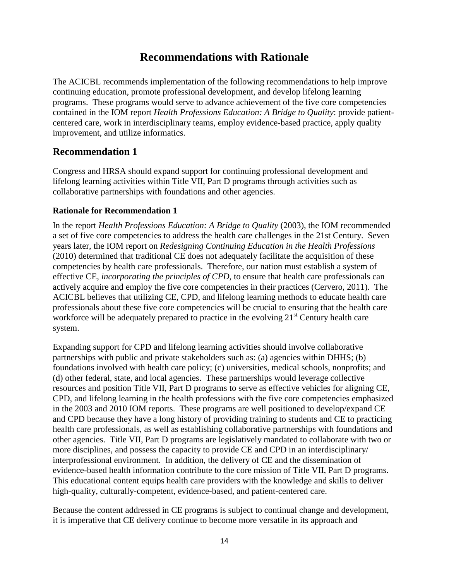# **Recommendations with Rationale**

<span id="page-16-0"></span>The ACICBL recommends implementation of the following recommendations to help improve continuing education, promote professional development, and develop lifelong learning programs. These programs would serve to advance achievement of the five core competencies contained in the IOM report *Health Professions Education: A Bridge to Quality*: provide patientcentered care, work in interdisciplinary teams, employ evidence-based practice, apply quality improvement, and utilize informatics.

### **Recommendation 1**

Congress and HRSA should expand support for continuing professional development and lifelong learning activities within Title VII, Part D programs through activities such as collaborative partnerships with foundations and other agencies.

### **Rationale for Recommendation 1**

In the report *Health Professions Education: A Bridge to Quality* (2003), the IOM recommended a set of five core competencies to address the health care challenges in the 21st Century. Seven years later, the IOM report on *Redesigning Continuing Education in the Health Professions* (2010) determined that traditional CE does not adequately facilitate the acquisition of these competencies by health care professionals. Therefore, our nation must establish a system of effective CE, *incorporating the principles of CPD*, to ensure that health care professionals can actively acquire and employ the five core competencies in their practices (Cervero, 2011). The ACICBL believes that utilizing CE, CPD, and lifelong learning methods to educate health care professionals about these five core competencies will be crucial to ensuring that the health care workforce will be adequately prepared to practice in the evolving  $21<sup>st</sup>$  Century health care system.

Expanding support for CPD and lifelong learning activities should involve collaborative partnerships with public and private stakeholders such as: (a) agencies within DHHS; (b) foundations involved with health care policy; (c) universities, medical schools, nonprofits; and (d) other federal, state, and local agencies. These partnerships would leverage collective resources and position Title VII, Part D programs to serve as effective vehicles for aligning CE, CPD, and lifelong learning in the health professions with the five core competencies emphasized in the 2003 and 2010 IOM reports. These programs are well positioned to develop/expand CE and CPD because they have a long history of providing training to students and CE to practicing health care professionals, as well as establishing collaborative partnerships with foundations and other agencies. Title VII, Part D programs are legislatively mandated to collaborate with two or more disciplines, and possess the capacity to provide CE and CPD in an interdisciplinary/ interprofessional environment. In addition, the delivery of CE and the dissemination of evidence-based health information contribute to the core mission of Title VII, Part D programs. This educational content equips health care providers with the knowledge and skills to deliver high-quality, culturally-competent, evidence-based, and patient-centered care.

Because the content addressed in CE programs is subject to continual change and development, it is imperative that CE delivery continue to become more versatile in its approach and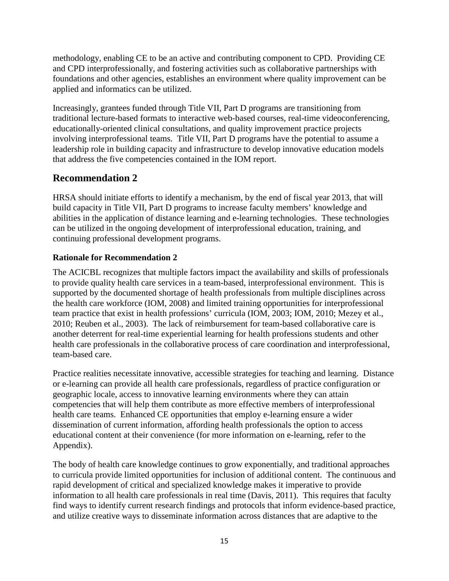methodology, enabling CE to be an active and contributing component to CPD. Providing CE and CPD interprofessionally, and fostering activities such as collaborative partnerships with foundations and other agencies, establishes an environment where quality improvement can be applied and informatics can be utilized.

Increasingly, grantees funded through Title VII, Part D programs are transitioning from traditional lecture-based formats to interactive web-based courses, real-time videoconferencing, educationally-oriented clinical consultations, and quality improvement practice projects involving interprofessional teams. Title VII, Part D programs have the potential to assume a leadership role in building capacity and infrastructure to develop innovative education models that address the five competencies contained in the IOM report.

# **Recommendation 2**

HRSA should initiate efforts to identify a mechanism, by the end of fiscal year 2013, that will build capacity in Title VII, Part D programs to increase faculty members' knowledge and abilities in the application of distance learning and e-learning technologies. These technologies can be utilized in the ongoing development of interprofessional education, training, and continuing professional development programs.

### **Rationale for Recommendation 2**

The ACICBL recognizes that multiple factors impact the availability and skills of professionals to provide quality health care services in a team-based, interprofessional environment. This is supported by the documented shortage of health professionals from multiple disciplines across the health care workforce (IOM, 2008) and limited training opportunities for interprofessional team practice that exist in health professions' curricula (IOM, 2003; IOM, 2010; Mezey et al., 2010; Reuben et al., 2003). The lack of reimbursement for team-based collaborative care is another deterrent for real-time experiential learning for health professions students and other health care professionals in the collaborative process of care coordination and interprofessional, team-based care.

Practice realities necessitate innovative, accessible strategies for teaching and learning. Distance or e-learning can provide all health care professionals, regardless of practice configuration or geographic locale, access to innovative learning environments where they can attain competencies that will help them contribute as more effective members of interprofessional health care teams. Enhanced CE opportunities that employ e-learning ensure a wider dissemination of current information, affording health professionals the option to access educational content at their convenience (for more information on e-learning, refer to the Appendix).

The body of health care knowledge continues to grow exponentially, and traditional approaches to curricula provide limited opportunities for inclusion of additional content. The continuous and rapid development of critical and specialized knowledge makes it imperative to provide information to all health care professionals in real time (Davis, 2011). This requires that faculty find ways to identify current research findings and protocols that inform evidence-based practice, and utilize creative ways to disseminate information across distances that are adaptive to the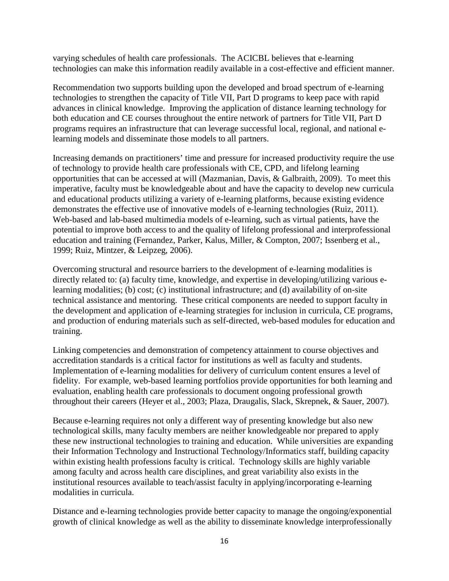varying schedules of health care professionals. The ACICBL believes that e-learning technologies can make this information readily available in a cost-effective and efficient manner.

Recommendation two supports building upon the developed and broad spectrum of e-learning technologies to strengthen the capacity of Title VII, Part D programs to keep pace with rapid advances in clinical knowledge. Improving the application of distance learning technology for both education and CE courses throughout the entire network of partners for Title VII, Part D programs requires an infrastructure that can leverage successful local, regional, and national elearning models and disseminate those models to all partners.

Increasing demands on practitioners' time and pressure for increased productivity require the use of technology to provide health care professionals with CE, CPD, and lifelong learning opportunities that can be accessed at will (Mazmanian, Davis, & Galbraith, 2009). To meet this imperative, faculty must be knowledgeable about and have the capacity to develop new curricula and educational products utilizing a variety of e-learning platforms, because existing evidence demonstrates the effective use of innovative models of e-learning technologies (Ruiz, 2011). Web-based and lab-based multimedia models of e-learning, such as virtual patients, have the potential to improve both access to and the quality of lifelong professional and interprofessional education and training (Fernandez, Parker, Kalus, Miller, & Compton, 2007; Issenberg et al., 1999; Ruiz, Mintzer, & Leipzeg, 2006).

Overcoming structural and resource barriers to the development of e-learning modalities is directly related to: (a) faculty time, knowledge, and expertise in developing/utilizing various elearning modalities; (b) cost; (c) institutional infrastructure; and (d) availability of on-site technical assistance and mentoring. These critical components are needed to support faculty in the development and application of e-learning strategies for inclusion in curricula, CE programs, and production of enduring materials such as self-directed, web-based modules for education and training.

Linking competencies and demonstration of competency attainment to course objectives and accreditation standards is a critical factor for institutions as well as faculty and students. Implementation of e-learning modalities for delivery of curriculum content ensures a level of fidelity. For example, web-based learning portfolios provide opportunities for both learning and evaluation, enabling health care professionals to document ongoing professional growth throughout their careers (Heyer et al., 2003; Plaza, Draugalis, Slack, Skrepnek, & Sauer, 2007).

Because e-learning requires not only a different way of presenting knowledge but also new technological skills, many faculty members are neither knowledgeable nor prepared to apply these new instructional technologies to training and education. While universities are expanding their Information Technology and Instructional Technology/Informatics staff, building capacity within existing health professions faculty is critical. Technology skills are highly variable among faculty and across health care disciplines, and great variability also exists in the institutional resources available to teach/assist faculty in applying/incorporating e-learning modalities in curricula.

Distance and e-learning technologies provide better capacity to manage the ongoing/exponential growth of clinical knowledge as well as the ability to disseminate knowledge interprofessionally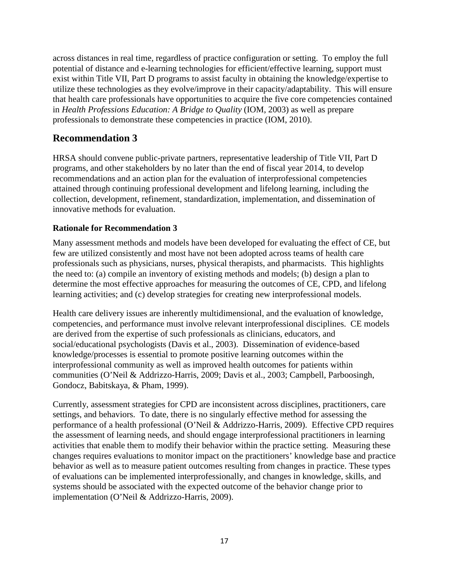across distances in real time, regardless of practice configuration or setting. To employ the full potential of distance and e-learning technologies for efficient/effective learning, support must exist within Title VII, Part D programs to assist faculty in obtaining the knowledge/expertise to utilize these technologies as they evolve/improve in their capacity/adaptability. This will ensure that health care professionals have opportunities to acquire the five core competencies contained in *Health Professions Education: A Bridge to Quality* (IOM, 2003) as well as prepare professionals to demonstrate these competencies in practice (IOM, 2010).

# **Recommendation 3**

HRSA should convene public-private partners, representative leadership of Title VII, Part D programs, and other stakeholders by no later than the end of fiscal year 2014, to develop recommendations and an action plan for the evaluation of interprofessional competencies attained through continuing professional development and lifelong learning, including the collection, development, refinement, standardization, implementation, and dissemination of innovative methods for evaluation.

### **Rationale for Recommendation 3**

Many assessment methods and models have been developed for evaluating the effect of CE, but few are utilized consistently and most have not been adopted across teams of health care professionals such as physicians, nurses, physical therapists, and pharmacists. This highlights the need to: (a) compile an inventory of existing methods and models; (b) design a plan to determine the most effective approaches for measuring the outcomes of CE, CPD, and lifelong learning activities; and (c) develop strategies for creating new interprofessional models.

Health care delivery issues are inherently multidimensional, and the evaluation of knowledge, competencies, and performance must involve relevant interprofessional disciplines. CE models are derived from the expertise of such professionals as clinicians, educators, and social/educational psychologists (Davis et al., 2003). Dissemination of evidence-based knowledge/processes is essential to promote positive learning outcomes within the interprofessional community as well as improved health outcomes for patients within communities (O'Neil & Addrizzo-Harris, 2009; Davis et al., 2003; Campbell, Parboosingh, Gondocz, Babitskaya, & Pham, 1999).

Currently, assessment strategies for CPD are inconsistent across disciplines, practitioners, care settings, and behaviors. To date, there is no singularly effective method for assessing the performance of a health professional (O'Neil & Addrizzo-Harris, 2009). Effective CPD requires the assessment of learning needs, and should engage interprofessional practitioners in learning activities that enable them to modify their behavior within the practice setting. Measuring these changes requires evaluations to monitor impact on the practitioners' knowledge base and practice behavior as well as to measure patient outcomes resulting from changes in practice. These types of evaluations can be implemented interprofessionally, and changes in knowledge, skills, and systems should be associated with the expected outcome of the behavior change prior to implementation (O'Neil & Addrizzo-Harris, 2009).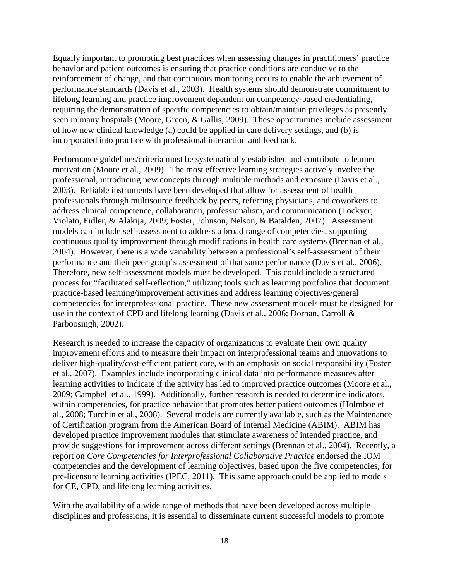Equally important to promoting best practices when assessing changes in practitioners' practice behavior and patient outcomes is ensuring that practice conditions are conducive to the reinforcement of change, and that continuous monitoring occurs to enable the achievement of performance standards (Davis et al., 2003). Health systems should demonstrate commitment to lifelong learning and practice improvement dependent on competency-based credentialing, requiring the demonstration of specific competencies to obtain/maintain privileges as presently seen in many hospitals (Moore, Green, & Gallis, 2009). These opportunities include assessment of how new clinical knowledge (a) could be applied in care delivery settings, and (b) is incorporated into practice with professional interaction and feedback.

Performance guidelines/criteria must be systematically established and contribute to learner motivation (Moore et al., 2009). The most effective learning strategies actively involve the professional, introducing new concepts through multiple methods and exposure (Davis et al., 2003). Reliable instruments have been developed that allow for assessment of health professionals through multisource feedback by peers, referring physicians, and coworkers to address clinical competence, collaboration, professionalism, and communication (Lockyer, Violato, Fidler, & Alakija, 2009; Foster, Johnson, Nelson, & Batalden, 2007). Assessment models can include self-assessment to address a broad range of competencies, supporting continuous quality improvement through modifications in health care systems (Brennan et al., 2004). However, there is a wide variability between a professional's self-assessment of their performance and their peer group's assessment of that same performance (Davis et al., 2006). Therefore, new self-assessment models must be developed. This could include a structured process for "facilitated self-reflection," utilizing tools such as learning portfolios that document practice-based learning/improvement activities and address learning objectives/general competencies for interprofessional practice. These new assessment models must be designed for use in the context of CPD and lifelong learning (Davis et al., 2006; Dornan, Carroll & Parboosingh, 2002).

Research is needed to increase the capacity of organizations to evaluate their own quality improvement efforts and to measure their impact on interprofessional teams and innovations to deliver high-quality/cost-efficient patient care, with an emphasis on social responsibility (Foster et al., 2007). Examples include incorporating clinical data into performance measures after learning activities to indicate if the activity has led to improved practice outcomes (Moore et al., 2009; Campbell et al., 1999). Additionally, further research is needed to determine indicators, within competencies, for practice behavior that promotes better patient outcomes (Holmboe et al., 2008; Turchin et al., 2008). Several models are currently available, such as the Maintenance of Certification program from the American Board of Internal Medicine (ABIM). ABIM has developed practice improvement modules that stimulate awareness of intended practice, and provide suggestions for improvement across different settings (Brennan et al., 2004). Recently, a report on *Core Competencies for Interprofessional Collaborative Practice* endorsed the IOM competencies and the development of learning objectives, based upon the five competencies, for pre-licensure learning activities (IPEC, 2011). This same approach could be applied to models for CE, CPD, and lifelong learning activities.

With the availability of a wide range of methods that have been developed across multiple disciplines and professions, it is essential to disseminate current successful models to promote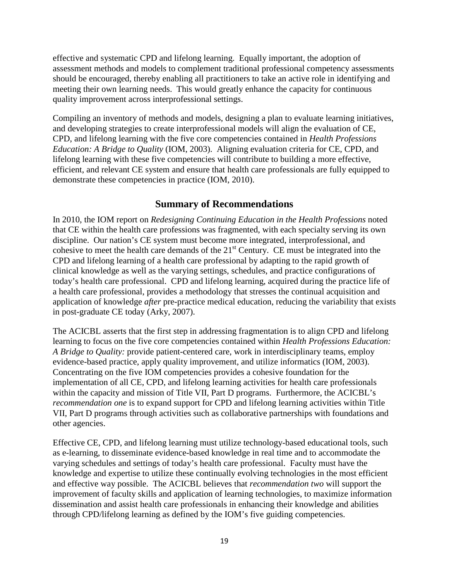effective and systematic CPD and lifelong learning. Equally important, the adoption of assessment methods and models to complement traditional professional competency assessments should be encouraged, thereby enabling all practitioners to take an active role in identifying and meeting their own learning needs. This would greatly enhance the capacity for continuous quality improvement across interprofessional settings.

Compiling an inventory of methods and models, designing a plan to evaluate learning initiatives, and developing strategies to create interprofessional models will align the evaluation of CE, CPD, and lifelong learning with the five core competencies contained in *Health Professions Education: A Bridge to Quality* (IOM, 2003). Aligning evaluation criteria for CE, CPD, and lifelong learning with these five competencies will contribute to building a more effective, efficient, and relevant CE system and ensure that health care professionals are fully equipped to demonstrate these competencies in practice (IOM, 2010).

### **Summary of Recommendations**

<span id="page-21-0"></span>In 2010, the IOM report on *Redesigning Continuing Education in the Health Professions* noted that CE within the health care professions was fragmented, with each specialty serving its own discipline. Our nation's CE system must become more integrated, interprofessional, and cohesive to meet the health care demands of the  $21<sup>st</sup>$  Century. CE must be integrated into the CPD and lifelong learning of a health care professional by adapting to the rapid growth of clinical knowledge as well as the varying settings, schedules, and practice configurations of today's health care professional. CPD and lifelong learning, acquired during the practice life of a health care professional, provides a methodology that stresses the continual acquisition and application of knowledge *after* pre-practice medical education, reducing the variability that exists in post-graduate CE today (Arky, 2007).

The ACICBL asserts that the first step in addressing fragmentation is to align CPD and lifelong learning to focus on the five core competencies contained within *Health Professions Education: A Bridge to Quality:* provide patient-centered care, work in interdisciplinary teams, employ evidence-based practice, apply quality improvement, and utilize informatics (IOM, 2003). Concentrating on the five IOM competencies provides a cohesive foundation for the implementation of all CE, CPD, and lifelong learning activities for health care professionals within the capacity and mission of Title VII, Part D programs. Furthermore, the ACICBL's *recommendation one* is to expand support for CPD and lifelong learning activities within Title VII, Part D programs through activities such as collaborative partnerships with foundations and other agencies.

Effective CE, CPD, and lifelong learning must utilize technology-based educational tools, such as e-learning, to disseminate evidence-based knowledge in real time and to accommodate the varying schedules and settings of today's health care professional. Faculty must have the knowledge and expertise to utilize these continually evolving technologies in the most efficient and effective way possible. The ACICBL believes that *recommendation two* will support the improvement of faculty skills and application of learning technologies, to maximize information dissemination and assist health care professionals in enhancing their knowledge and abilities through CPD/lifelong learning as defined by the IOM's five guiding competencies.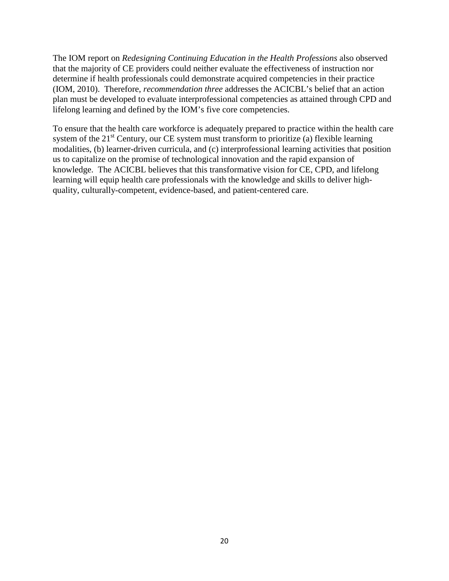The IOM report on *Redesigning Continuing Education in the Health Professions* also observed that the majority of CE providers could neither evaluate the effectiveness of instruction nor determine if health professionals could demonstrate acquired competencies in their practice (IOM, 2010). Therefore, *recommendation three* addresses the ACICBL's belief that an action plan must be developed to evaluate interprofessional competencies as attained through CPD and lifelong learning and defined by the IOM's five core competencies.

To ensure that the health care workforce is adequately prepared to practice within the health care system of the  $21<sup>st</sup>$  Century, our CE system must transform to prioritize (a) flexible learning modalities, (b) learner-driven curricula, and (c) interprofessional learning activities that position us to capitalize on the promise of technological innovation and the rapid expansion of knowledge. The ACICBL believes that this transformative vision for CE, CPD, and lifelong learning will equip health care professionals with the knowledge and skills to deliver highquality, culturally-competent, evidence-based, and patient-centered care.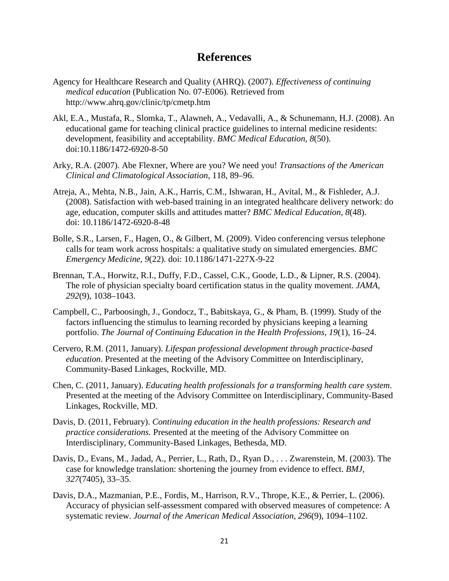# **References**

- <span id="page-23-0"></span>Agency for Healthcare Research and Quality (AHRQ). (2007). *Effectiveness of continuing medical education* (Publication No. 07-E006). Retrieved from http://www.ahrq.gov/clinic/tp/cmetp.htm
- Akl, E.A., Mustafa, R., Slomka, T., Alawneh, A., Vedavalli, A., & Schunemann, H.J. (2008). An educational game for teaching clinical practice guidelines to internal medicine residents: development, feasibility and acceptability. *BMC Medical Education, 8*(50). doi:10.1186/1472-6920-8-50
- Arky, R.A. (2007). Abe Flexner, Where are you? We need you! *Transactions of the American Clinical and Climatological Association*, 118, 89–96.
- Atreja, A., Mehta, N.B., Jain, A.K., Harris, C.M., Ishwaran, H., Avital, M., & Fishleder, A.J. (2008). Satisfaction with web-based training in an integrated healthcare delivery network: do age, education, computer skills and attitudes matter? *BMC Medical Education, 8*(48). doi: 10.1186/1472-6920-8-48
- Bolle, S.R., Larsen, F., Hagen, O., & Gilbert, M. (2009). Video conferencing versus telephone calls for team work across hospitals: a qualitative study on simulated emergencies. *BMC Emergency Medicine, 9*(22). doi: 10.1186/1471-227X-9-22
- Brennan, T.A., Horwitz, R.I., Duffy, F.D., Cassel, C.K., Goode, L.D., & Lipner, R.S. (2004). The role of physician specialty board certification status in the quality movement. *JAMA, 292*(9), 1038–1043.
- Campbell, C., Parboosingh, J., Gondocz, T., Babitskaya, G., & Pham, B. (1999). Study of the factors influencing the stimulus to learning recorded by physicians keeping a learning portfolio. *The Journal of Continuing Education in the Health Professions, 19*(1), 16–24.
- Cervero, R.M. (2011, January). *Lifespan professional development through practice-based education*. Presented at the meeting of the Advisory Committee on Interdisciplinary, Community-Based Linkages, Rockville, MD.
- Chen, C. (2011, January). *Educating health professionals for a transforming health care system*. Presented at the meeting of the Advisory Committee on Interdisciplinary, Community-Based Linkages, Rockville, MD.
- Davis, D. (2011, February). *Continuing education in the health professions: Research and practice considerations.* Presented at the meeting of the Advisory Committee on Interdisciplinary, Community-Based Linkages, Bethesda, MD.
- Davis, D., Evans, M., Jadad, A., Perrier, L., Rath, D., Ryan D., . . . Zwarenstein, M. (2003). The case for knowledge translation: shortening the journey from evidence to effect. *BMJ, 327*(7405), 33–35.
- Davis, D.A., Mazmanian, P.E., Fordis, M., Harrison, R.V., Thrope, K.E., & Perrier, L. (2006). Accuracy of physician self-assessment compared with observed measures of competence: A systematic review. *Journal of the American Medical Association, 296*(9)*,* 1094–1102.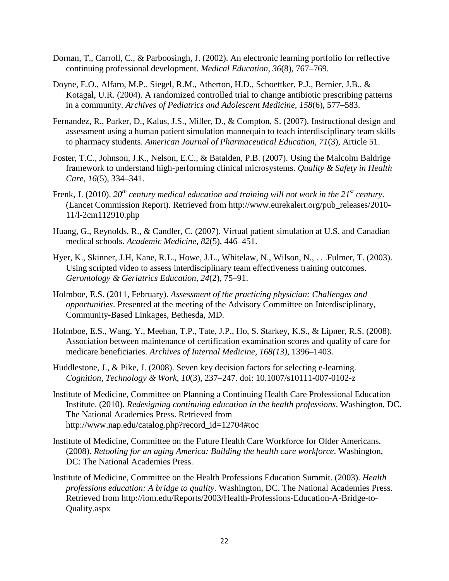- Dornan, T., Carroll, C., & Parboosingh, J. (2002). An electronic learning portfolio for reflective continuing professional development. *Medical Education*, *36*(8)*,* 767–769.
- Doyne, E.O., Alfaro, M.P., Siegel, R.M., Atherton, H.D., Schoettker, P.J., Bernier, J.B., & Kotagal, U.R. (2004). A randomized controlled trial to change antibiotic prescribing patterns in a community. *Archives of Pediatrics and Adolescent Medicine, 158*(6), 577–583.
- Fernandez, R., Parker, D., Kalus, J.S., Miller, D., & Compton, S. (2007). Instructional design and assessment using a human patient simulation mannequin to teach interdisciplinary team skills to pharmacy students. *American Journal of Pharmaceutical Education, 71*(3), Article 51.
- Foster, T.C., Johnson, J.K., Nelson, E.C., & Batalden, P.B. (2007). Using the Malcolm Baldrige framework to understand high-performing clinical microsystems. *Quality & Safety in Health Care, 16*(5), 334–341.
- Frenk, J. (2010). 20<sup>th</sup> century medical education and training will not work in the 21<sup>st</sup> century. (Lancet Commission Report). Retrieved from http://www.eurekalert.org/pub\_releases/2010- 11/l-2cm112910.php
- Huang, G., Reynolds, R., & Candler, C. (2007). Virtual patient simulation at U.S. and Canadian medical schools. *Academic Medicine, 82*(5), 446–451.
- Hyer, K., Skinner, J.H, Kane, R.L., Howe, J.L., Whitelaw, N., Wilson, N., . . . Fulmer, T. (2003). Using scripted video to assess interdisciplinary team effectiveness training outcomes. *Gerontology & Geriatrics Education*, *24*(2), 75–91.
- Holmboe, E.S. (2011, February). *Assessment of the practicing physician: Challenges and opportunities*. Presented at the meeting of the Advisory Committee on Interdisciplinary, Community-Based Linkages, Bethesda, MD.
- Holmboe, E.S., Wang, Y., Meehan, T.P., Tate, J.P., Ho, S. Starkey, K.S., & Lipner, R.S. (2008). Association between maintenance of certification examination scores and quality of care for medicare beneficiaries. *Archives of Internal Medicine, 168(13)*, 1396–1403.
- Huddlestone, J., & Pike, J. (2008). Seven key decision factors for selecting e-learning. *Cognition, Technology & Work*, *10*(3), 237–247. doi: 10.1007/s10111-007-0102-z
- Institute of Medicine, Committee on Planning a Continuing Health Care Professional Education Institute. (2010). *Redesigning continuing education in the health professions*. Washington, DC. The National Academies Press. Retrieved from http://www.nap.edu/catalog.php?record\_id=12704#toc
- Institute of Medicine, Committee on the Future Health Care Workforce for Older Americans. (2008). *Retooling for an aging America: Building the health care workforce*. Washington, DC: The National Academies Press.
- Institute of Medicine, Committee on the Health Professions Education Summit. (2003). *Health professions education: A bridge to quality*. Washington, DC. The National Academies Press. Retrieved from http://iom.edu/Reports/2003/Health-Professions-Education-A-Bridge-to-Quality.aspx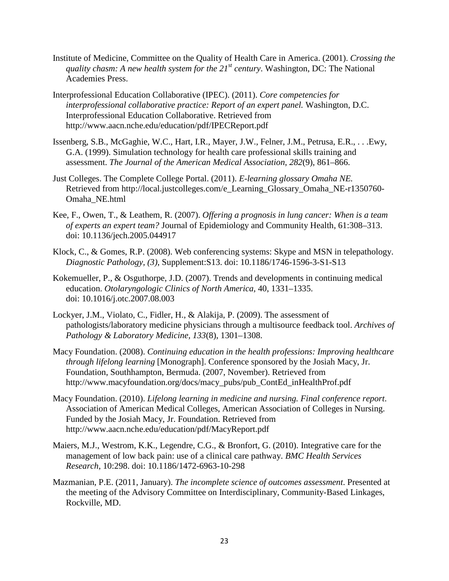- Institute of Medicine, Committee on the Quality of Health Care in America. (2001). *Crossing the quality chasm: A new health system for the 21st century*. Washington, DC: The National Academies Press.
- Interprofessional Education Collaborative (IPEC). (2011). *Core competencies for interprofessional collaborative practice: Report of an expert panel.* Washington, D.C. Interprofessional Education Collaborative. Retrieved from http://www.aacn.nche.edu/education/pdf/IPECReport.pdf
- Issenberg, S.B., McGaghie, W.C., Hart, I.R., Mayer, J.W., Felner, J.M., Petrusa, E.R., . . .Ewy, G.A. (1999). Simulation technology for health care professional skills training and assessment. *The Journal of the American Medical Association*, *282*(9), 861–866.
- Just Colleges. The Complete College Portal. (2011). *E-learning glossary Omaha NE.*  Retrieved from http://local.justcolleges.com/e\_Learning\_Glossary\_Omaha\_NE-r1350760- Omaha\_NE.html
- Kee, F., Owen, T., & Leathem, R. (2007). *Offering a prognosis in lung cancer: When is a team of experts an expert team?* Journal of Epidemiology and Community Health, 61:308–313. doi: 10.1136/jech.2005.044917
- Klock, C., & Gomes, R.P. (2008). Web conferencing systems: Skype and MSN in telepathology. *Diagnostic Pathology, (3)*, Supplement:S13. doi: 10.1186/1746-1596-3-S1-S13
- Kokemueller, P., & Osguthorpe, J.D. (2007). Trends and developments in continuing medical education. *Otolaryngologic Clinics of North America,* 40, 1331–1335. doi: 10.1016/j.otc.2007.08.003
- Lockyer, J.M., Violato, C., Fidler, H., & Alakija, P. (2009). The assessment of pathologists/laboratory medicine physicians through a multisource feedback tool. *Archives of Pathology & Laboratory Medicine, 133*(8), 1301–1308.
- Macy Foundation. (2008). *Continuing education in the health professions: Improving healthcare through lifelong learning* [Monograph]. Conference sponsored by the Josiah Macy, Jr. Foundation, Southhampton, Bermuda. (2007, November). Retrieved from http://www.macyfoundation.org/docs/macy\_pubs/pub\_ContEd\_inHealthProf.pdf
- Macy Foundation. (2010). *Lifelong learning in medicine and nursing. Final conference report*. Association of American Medical Colleges, American Association of Colleges in Nursing. Funded by the Josiah Macy, Jr. Foundation. Retrieved from http://www.aacn.nche.edu/education/pdf/MacyReport.pdf
- Maiers, M.J., Westrom, K.K., Legendre, C.G., & Bronfort, G. (2010). Integrative care for the management of low back pain: use of a clinical care pathway. *BMC Health Services Research*, 10:298. doi: 10.1186/1472-6963-10-298
- Mazmanian, P.E. (2011, January). *The incomplete science of outcomes assessment*. Presented at the meeting of the Advisory Committee on Interdisciplinary, Community-Based Linkages, Rockville, MD.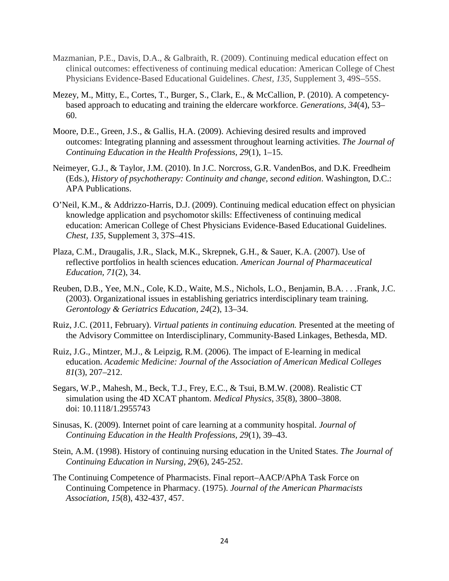- Mazmanian, P.E., Davis, D.A., & Galbraith, R. (2009). Continuing medical education effect on clinical outcomes: effectiveness of continuing medical education: American College of Chest Physicians Evidence-Based Educational Guidelines. *Chest, 135*, Supplement 3, 49S–55S.
- Mezey, M., Mitty, E., Cortes, T., Burger, S., Clark, E., & McCallion, P. (2010). A competencybased approach to educating and training the eldercare workforce. *Generations, 34*(4), 53– 60.
- Moore, D.E., Green, J.S., & Gallis, H.A. (2009). Achieving desired results and improved outcomes: Integrating planning and assessment throughout learning activities. *The Journal of Continuing Education in the Health Professions, 29*(1), 1–15.
- Neimeyer, G.J., & Taylor, J.M. (2010). In J.C. Norcross, G.R. VandenBos, and D.K. Freedheim (Eds.), *History of psychotherapy: Continuity and change, second edition*. Washington, D.C.: APA Publications.
- O'Neil, K.M., & Addrizzo-Harris, D.J. (2009). Continuing medical education effect on physician knowledge application and psychomotor skills: Effectiveness of continuing medical education: American College of Chest Physicians Evidence-Based Educational Guidelines. *Chest, 135*, Supplement 3, 37S–41S.
- Plaza, C.M., Draugalis, J.R., Slack, M.K., Skrepnek, G.H., & Sauer, K.A. (2007). Use of reflective portfolios in health sciences education. *American Journal of Pharmaceutical Education, 71*(2), 34.
- Reuben, D.B., Yee, M.N., Cole, K.D., Waite, M.S., Nichols, L.O., Benjamin, B.A. . . .Frank, J.C. (2003). Organizational issues in establishing geriatrics interdisciplinary team training. *Gerontology & Geriatrics Education, 24*(2), 13–34.
- Ruiz, J.C. (2011, February). *Virtual patients in continuing education.* Presented at the meeting of the Advisory Committee on Interdisciplinary, Community-Based Linkages, Bethesda, MD.
- Ruiz, J.G., Mintzer, M.J., & Leipzig, R.M. (2006). The impact of E-learning in medical education. *Academic Medicine: Journal of the Association of American Medical Colleges 81*(3), 207–212.
- Segars, W.P., Mahesh, M., Beck, T.J., Frey, E.C., & Tsui, B.M.W. (2008). Realistic CT simulation using the 4D XCAT phantom. *Medical Physics, 35*(8), 3800–3808. doi: 10.1118/1.2955743
- Sinusas, K. (2009). Internet point of care learning at a community hospital. *Journal of Continuing Education in the Health Professions, 29*(1), 39–43.
- Stein, A.M. (1998). History of continuing nursing education in the United States. *The Journal of Continuing Education in Nursing, 29*(6), 245-252.
- The Continuing Competence of Pharmacists. Final report–AACP/APhA Task Force on Continuing Competence in Pharmacy. (1975). *Journal of the American Pharmacists Association, 15*(8), 432-437, 457.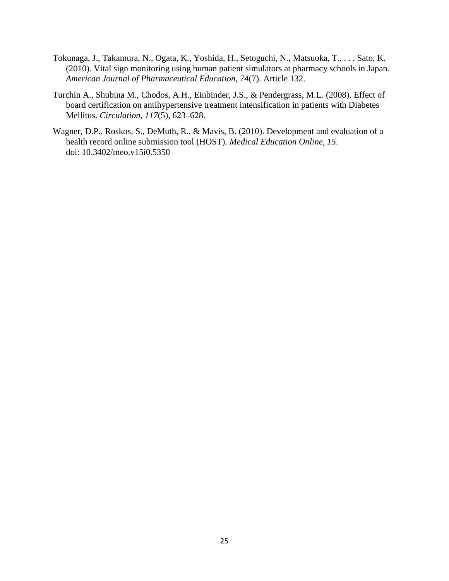- Tokunaga, J., Takamura, N., Ogata, K., Yoshida, H., Setoguchi, N., Matsuoka, T., . . . Sato, K. (2010). Vital sign monitoring using human patient simulators at pharmacy schools in Japan. *American Journal of Pharmaceutical Education, 74*(7). Article 132.
- Turchin A., Shubina M., Chodos, A.H., Einbinder, J.S., & Pendergrass, M.L. (2008). Effect of board certification on antihypertensive treatment intensification in patients with Diabetes Mellitus. *Circulation, 117*(5), 623–628.
- Wagner, D.P., Roskos, S., DeMuth, R., & Mavis, B. (2010). Development and evaluation of a health record online submission tool (HOST). *Medical Education Online, 15*. doi: 10.3402/meo.v15i0.5350